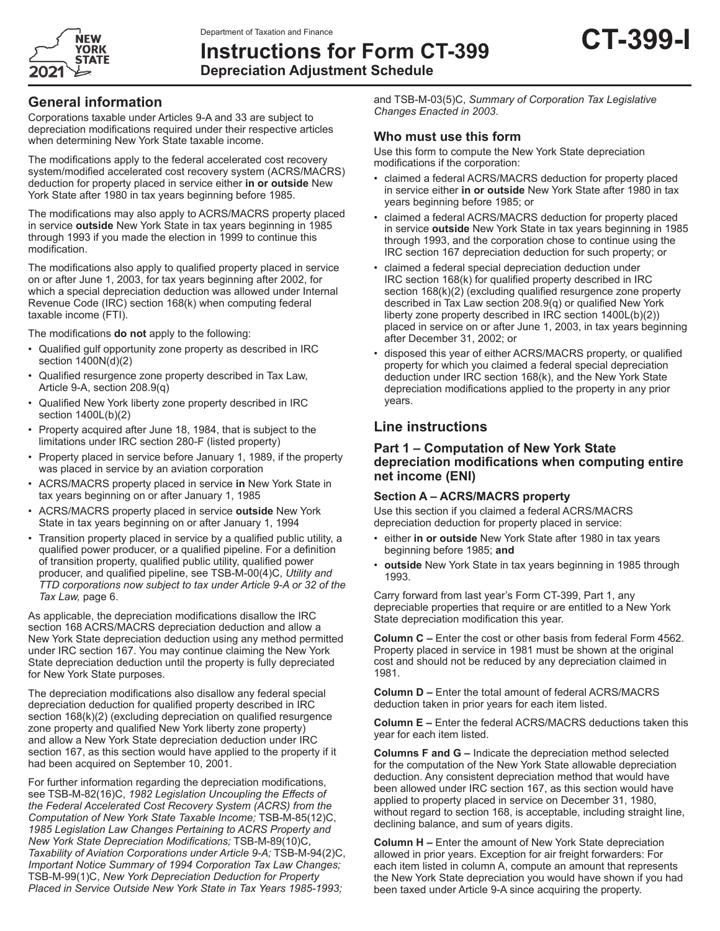

**Instructions for Form CT-399 Depreciation Adjustment Schedule**

### **General information**

Corporations taxable under Articles 9-A and 33 are subject to depreciation modifications required under their respective articles when determining New York State taxable income.

The modifications apply to the federal accelerated cost recovery system/modified accelerated cost recovery system (ACRS/MACRS) deduction for property placed in service either **in or outside** New York State after 1980 in tax years beginning before 1985.

The modifications may also apply to ACRS/MACRS property placed in service **outside** New York State in tax years beginning in 1985 through 1993 if you made the election in 1999 to continue this modification.

The modifications also apply to qualified property placed in service on or after June 1, 2003, for tax years beginning after 2002, for which a special depreciation deduction was allowed under Internal Revenue Code (IRC) section 168(k) when computing federal taxable income (FTI).

The modifications **do not** apply to the following:

- Qualified gulf opportunity zone property as described in IRC section 1400N(d)(2)
- Qualified resurgence zone property described in Tax Law, Article 9-A, section 208.9(q)
- Qualified New York liberty zone property described in IRC section 1400L(b)(2)
- Property acquired after June 18, 1984, that is subject to the limitations under IRC section 280-F (listed property)
- Property placed in service before January 1, 1989, if the property was placed in service by an aviation corporation
- ACRS/MACRS property placed in service **in** New York State in tax years beginning on or after January 1, 1985
- ACRS/MACRS property placed in service **outside** New York State in tax years beginning on or after January 1, 1994
- Transition property placed in service by a qualified public utility, a qualified power producer, or a qualified pipeline. For a definition of transition property, qualified public utility, qualified power producer, and qualified pipeline, see TSB-M-00(4)C, *Utility and TTD corporations now subject to tax under Article 9-A or 32 of the Tax Law,* page 6.

As applicable, the depreciation modifications disallow the IRC section 168 ACRS/MACRS depreciation deduction and allow a New York State depreciation deduction using any method permitted under IRC section 167. You may continue claiming the New York State depreciation deduction until the property is fully depreciated for New York State purposes.

The depreciation modifications also disallow any federal special depreciation deduction for qualified property described in IRC section 168(k)(2) (excluding depreciation on qualified resurgence zone property and qualified New York liberty zone property) and allow a New York State depreciation deduction under IRC section 167, as this section would have applied to the property if it had been acquired on September 10, 2001.

For further information regarding the depreciation modifications, see TSB‑M‑82(16)C, *1982 Legislation Uncoupling the Effects of the Federal Accelerated Cost Recovery System (ACRS) from the Computation of New York State Taxable Income;* TSB‑M‑85(12)C, *1985 Legislation Law Changes Pertaining to ACRS Property and New York State Depreciation Modifications;* TSB‑M‑89(10)C, *Taxability of Aviation Corporations under Article 9-A;* TSB‑M‑94(2)C, *Important Notice Summary of 1994 Corporation Tax Law Changes;* TSB‑M‑99(1)C, *New York Depreciation Deduction for Property Placed in Service Outside New York State in Tax Years 1985-1993;*

and TSB-M-03(5)C, *Summary of Corporation Tax Legislative Changes Enacted in 2003*.

### **Who must use this form**

Use this form to compute the New York State depreciation modifications if the corporation:

- claimed a federal ACRS/MACRS deduction for property placed in service either **in or outside** New York State after 1980 in tax years beginning before 1985; or
- claimed a federal ACRS/MACRS deduction for property placed in service **outside** New York State in tax years beginning in 1985 through 1993, and the corporation chose to continue using the IRC section 167 depreciation deduction for such property; or
- claimed a federal special depreciation deduction under IRC section 168(k) for qualified property described in IRC section 168(k)(2) (excluding qualified resurgence zone property described in Tax Law section 208.9(q) or qualified New York liberty zone property described in IRC section 1400L(b)(2)) placed in service on or after June 1, 2003, in tax years beginning after December 31, 2002; or
- disposed this year of either ACRS/MACRS property, or qualified property for which you claimed a federal special depreciation deduction under IRC section 168(k), and the New York State depreciation modifications applied to the property in any prior years.

# **Line instructions**

#### **Part 1 – Computation of New York State depreciation modifications when computing entire net income (ENI)**

#### **Section A – ACRS/MACRS property**

Use this section if you claimed a federal ACRS/MACRS depreciation deduction for property placed in service:

- either **in or outside** New York State after 1980 in tax years beginning before 1985; **and**
- **outside** New York State in tax years beginning in 1985 through 1993.

Carry forward from last year's Form CT-399, Part 1, any depreciable properties that require or are entitled to a New York State depreciation modification this year.

**Column C –** Enter the cost or other basis from federal Form 4562. Property placed in service in 1981 must be shown at the original cost and should not be reduced by any depreciation claimed in 1981.

**Column D –** Enter the total amount of federal ACRS/MACRS deduction taken in prior years for each item listed.

**Column E –** Enter the federal ACRS/MACRS deductions taken this year for each item listed.

**Columns F and G –** Indicate the depreciation method selected for the computation of the New York State allowable depreciation deduction. Any consistent depreciation method that would have been allowed under IRC section 167, as this section would have applied to property placed in service on December 31, 1980, without regard to section 168, is acceptable, including straight line, declining balance, and sum of years digits.

**Column H –** Enter the amount of New York State depreciation allowed in prior years. Exception for air freight forwarders: For each item listed in column A, compute an amount that represents the New York State depreciation you would have shown if you had been taxed under Article 9-A since acquiring the property.